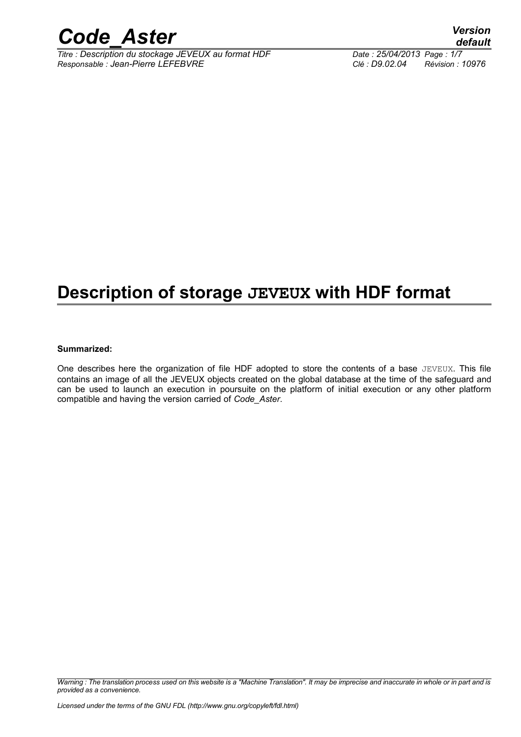

*Titre : Description du stockage JEVEUX au format HDF Date : 25/04/2013 Page : 1/7 Responsable : Jean-Pierre LEFEBVRE Clé : D9.02.04 Révision : 10976*

## **Description of storage JEVEUX with HDF format**

#### **Summarized:**

One describes here the organization of file HDF adopted to store the contents of a base JEVEUX. This file contains an image of all the JEVEUX objects created on the global database at the time of the safeguard and can be used to launch an execution in poursuite on the platform of initial execution or any other platform compatible and having the version carried of *Code\_Aster*.

*Warning : The translation process used on this website is a "Machine Translation". It may be imprecise and inaccurate in whole or in part and is provided as a convenience.*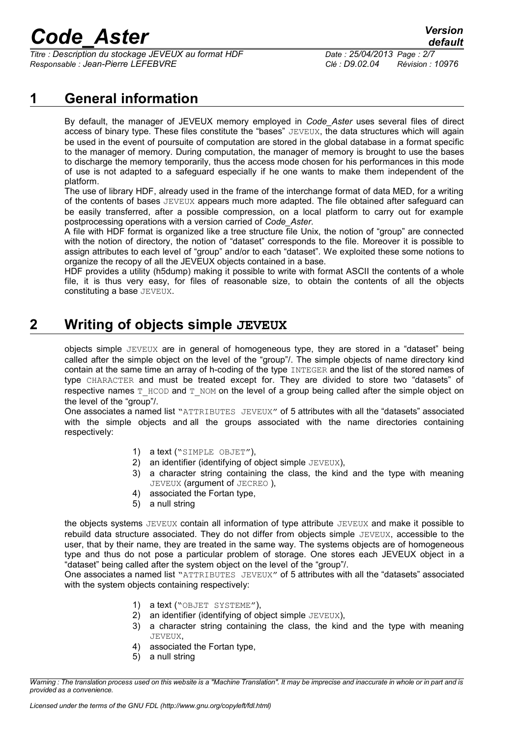*Titre : Description du stockage JEVEUX au format HDF Date : 25/04/2013 Page : 2/7 Responsable : Jean-Pierre LEFEBVRE Clé : D9.02.04 Révision : 10976*

#### **1 General information**

By default, the manager of JEVEUX memory employed in *Code\_Aster* uses several files of direct access of binary type. These files constitute the "bases" JEVEUX, the data structures which will again be used in the event of poursuite of computation are stored in the global database in a format specific to the manager of memory. During computation, the manager of memory is brought to use the bases to discharge the memory temporarily, thus the access mode chosen for his performances in this mode of use is not adapted to a safeguard especially if he one wants to make them independent of the platform.

The use of library HDF, already used in the frame of the interchange format of data MED, for a writing of the contents of bases JEVEUX appears much more adapted. The file obtained after safeguard can be easily transferred, after a possible compression, on a local platform to carry out for example postprocessing operations with a version carried of *Code\_Aster*.

A file with HDF format is organized like a tree structure file Unix, the notion of "group" are connected with the notion of directory, the notion of "dataset" corresponds to the file. Moreover it is possible to assign attributes to each level of "group" and/or to each "dataset". We exploited these some notions to organize the recopy of all the JEVEUX objects contained in a base.

HDF provides a utility (h5dump) making it possible to write with format ASCII the contents of a whole file, it is thus very easy, for files of reasonable size, to obtain the contents of all the objects constituting a base JEVEUX.

### **2 Writing of objects simple JEVEUX**

objects simple JEVEUX are in general of homogeneous type, they are stored in a "dataset" being called after the simple object on the level of the "group"/. The simple objects of name directory kind contain at the same time an array of h-coding of the type INTEGER and the list of the stored names of type CHARACTER and must be treated except for. They are divided to store two "datasets" of respective names  $T_HCO$  and  $T_MOM$  on the level of a group being called after the simple object on the level of the "group"/.

One associates a named list "ATTRIBUTES JEVEUX" of 5 attributes with all the "datasets" associated with the simple objects and all the groups associated with the name directories containing respectively:

- 1) a text ("SIMPLE OBJET"),
- 2) an identifier (identifying of object simple JEVEUX),
- 3) a character string containing the class, the kind and the type with meaning JEVEUX (argument of JECREO ),
- 4) associated the Fortan type,
- 5) a null string

the objects systems JEVEUX contain all information of type attribute JEVEUX and make it possible to rebuild data structure associated. They do not differ from objects simple JEVEUX, accessible to the user, that by their name, they are treated in the same way. The systems objects are of homogeneous type and thus do not pose a particular problem of storage. One stores each JEVEUX object in a "dataset" being called after the system object on the level of the "group"/.

One associates a named list "ATTRIBUTES JEVEUX" of 5 attributes with all the "datasets" associated with the system objects containing respectively:

- 1) a text ("OBJET SYSTEME"),
- 2) an identifier (identifying of object simple JEVEUX),
- 3) a character string containing the class, the kind and the type with meaning JEVEUX,
- 4) associated the Fortan type,
- 5) a null string

*Warning : The translation process used on this website is a "Machine Translation". It may be imprecise and inaccurate in whole or in part and is provided as a convenience.*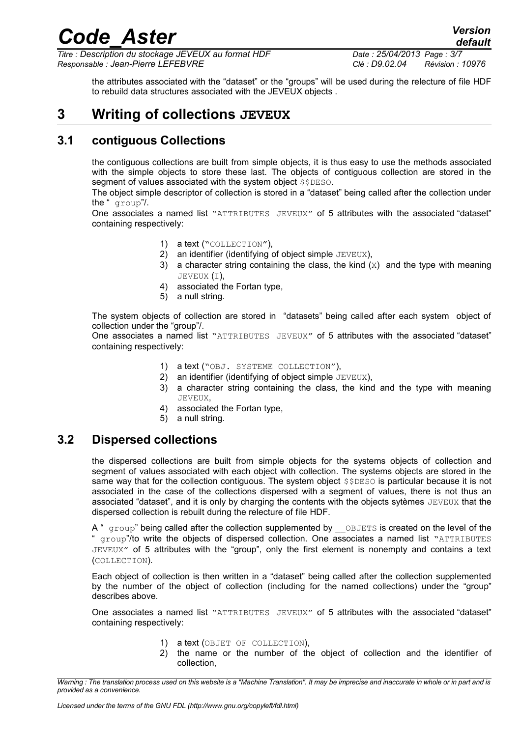*Titre : Description du stockage JEVEUX au format HDF Date : 25/04/2013 Page : 3/7 Responsable : Jean-Pierre LEFEBVRE Clé : D9.02.04 Révision : 10976*

*default*

the attributes associated with the "dataset" or the "groups" will be used during the relecture of file HDF to rebuild data structures associated with the JEVEUX objects .

#### **3 Writing of collections JEVEUX**

#### **3.1 contiguous Collections**

the contiguous collections are built from simple objects, it is thus easy to use the methods associated with the simple objects to store these last. The objects of contiguous collection are stored in the segment of values associated with the system object \$\$DESO.

The object simple descriptor of collection is stored in a "dataset" being called after the collection under the " group"/.

One associates a named list "ATTRIBUTES JEVEUX" of 5 attributes with the associated "dataset" containing respectively:

- 1) a text ("COLLECTION"),
- 2) an identifier (identifying of object simple JEVEUX),
- 3) a character string containing the class, the kind  $(X)$  and the type with meaning JEVEUX (I),
- 4) associated the Fortan type,
- 5) a null string.

The system objects of collection are stored in "datasets" being called after each system object of collection under the "group"/.

One associates a named list "ATTRIBUTES JEVEUX" of 5 attributes with the associated "dataset" containing respectively:

- 1) a text ("OBJ. SYSTEME COLLECTION"),
- 2) an identifier (identifying of object simple JEVEUX),
- 3) a character string containing the class, the kind and the type with meaning JEVEUX,
- 4) associated the Fortan type,
- 5) a null string.

#### **3.2 Dispersed collections**

the dispersed collections are built from simple objects for the systems objects of collection and segment of values associated with each object with collection. The systems objects are stored in the same way that for the collection contiguous. The system object \$\$DESO is particular because it is not associated in the case of the collections dispersed with a segment of values, there is not thus an associated "dataset", and it is only by charging the contents with the objects sytèmes JEVEUX that the dispersed collection is rebuilt during the relecture of file HDF.

A " group" being called after the collection supplemented by OBJETS is created on the level of the " group"/to write the objects of dispersed collection. One associates a named list "ATTRIBUTES JEVEUX" of 5 attributes with the "group", only the first element is nonempty and contains a text (COLLECTION).

Each object of collection is then written in a "dataset" being called after the collection supplemented by the number of the object of collection (including for the named collections) under the "group" describes above.

One associates a named list "ATTRIBUTES JEVEUX" of 5 attributes with the associated "dataset" containing respectively:

- 1) a text (OBJET OF COLLECTION),
- 2) the name or the number of the object of collection and the identifier of collection,

*Warning : The translation process used on this website is a "Machine Translation". It may be imprecise and inaccurate in whole or in part and is provided as a convenience.*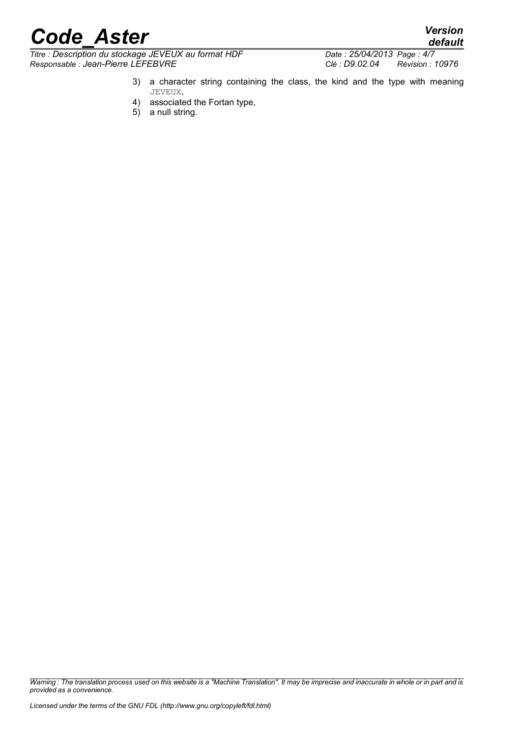$\overline{T}$ itre : Description du stockage JEVEUX au format HDF *Responsable : Jean-Pierre LEFEBVRE Clé : D9.02.04 Révision : 10976*

*default*

- 3) a character string containing the class, the kind and the type with meaning JEVEUX,
- 4) associated the Fortan type,
- 5) a null string.

*Warning : The translation process used on this website is a "Machine Translation". It may be imprecise and inaccurate in whole or in part and is provided as a convenience.*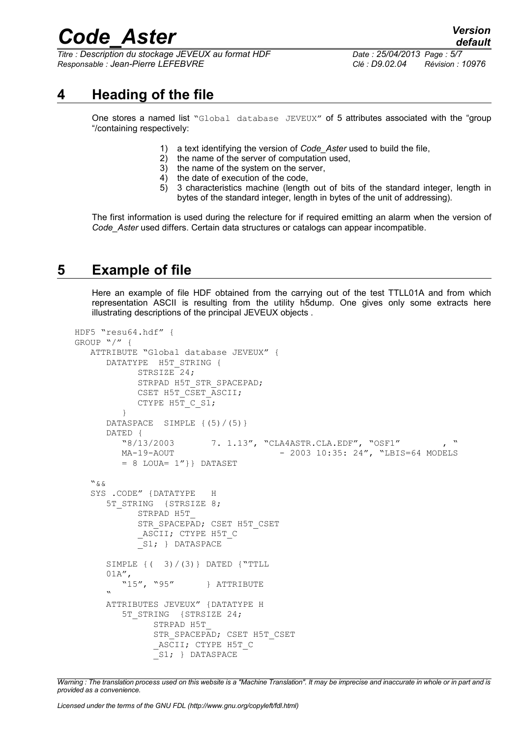*Titre : Description du stockage JEVEUX au format HDF Date : 25/04/2013 Page : 5/7 Responsable : Jean-Pierre LEFEBVRE Clé : D9.02.04 Révision : 10976*

#### **4 Heading of the file**

One stores a named list "Global database JEVEUX" of 5 attributes associated with the "group "/containing respectively:

- 1) a text identifying the version of *Code\_Aster* used to build the file,
- 2) the name of the server of computation used,
- 3) the name of the system on the server,
- 4) the date of execution of the code,
- 5) 3 characteristics machine (length out of bits of the standard integer, length in bytes of the standard integer, length in bytes of the unit of addressing).

The first information is used during the relecture for if required emitting an alarm when the version of *Code\_Aster* used differs. Certain data structures or catalogs can appear incompatible.

#### **5 Example of file**

Here an example of file HDF obtained from the carrying out of the test TTLL01A and from which representation ASCII is resulting from the utility h5dump. One gives only some extracts here illustrating descriptions of the principal JEVEUX objects .

```
HDF5 "resu64.hdf" {
GROUP "/" {
    ATTRIBUTE "Global database JEVEUX" {
      DATATYPE H5T STRING {
            STRSIZE<sup>-24;</sup>
            STRPAD H5T STR SPACEPAD;
            CSET H5T CSET ASCII;
             CTYPE H5T_C_S1;
          } 
       DATASPACE SIMPLE {(5)/(5)} 
       DATED {
         "8/13/2003 7. 1.13", "CLA4ASTR.CLA.EDF", "OSF1"
         MA-19-AOUT - 2003 10:35: 24", "LBIS=64 MODELS
         = 8 LOUA= 1'' } DATASET
    "&& 
    SYS .CODE" {DATATYPE H
      5T STRING {STRSIZE 8;
             STRPAD H5T_
            STR_SPACEPAD; CSET H5T_CSET
             ASCII; CTYPE H5T C
            \left\{\nabla S1; \right\} DATASPACE
      SIMPLE \{ ( 3) / (3) \} DATED \{"TTLL
      01A'',<br>"15", "95"
                          } ATTRIBUTE
 " 
       ATTRIBUTES JEVEUX" {DATATYPE H
         5T STRING {STRSIZE 24;
                STRPAD H5T_
               STR SPACEPAD; CSET H5T CSET
               _ASCII; CTYPE H5T C
               S1; } DATASPACE
```
*Warning : The translation process used on this website is a "Machine Translation". It may be imprecise and inaccurate in whole or in part and is provided as a convenience.*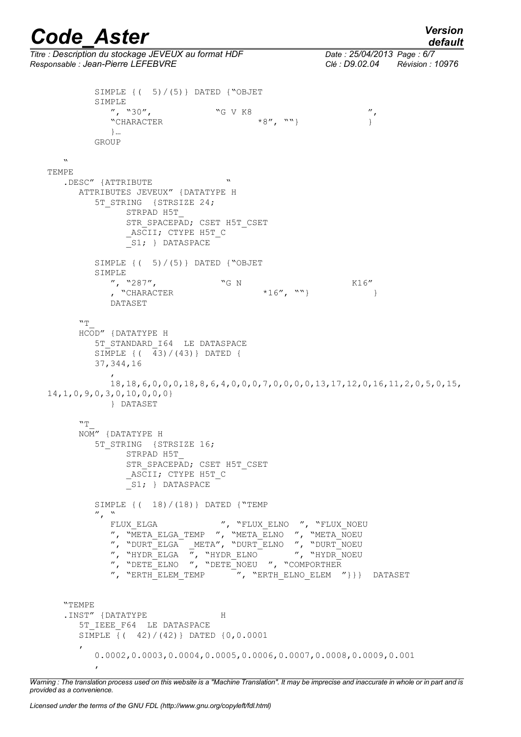*default*

*Titre : Description du stockage JEVEUX au format HDF Date : 25/04/2013 Page : 6/7 Responsable : Jean-Pierre LEFEBVRE Clé : D9.02.04 Révision : 10976* SIMPLE  $\{ (5) / (5) \}$  DATED  $\{$ "OBJET SIMPLE  $\frac{1}{2}$ , "30",  $\frac{1}{2}$  "G V K8  $\frac{1}{2}$ ", ""}  $\frac{1}{2}$  ", "CHARACTER  $\frac{1}{2}$  "G  $\frac{1}{2}$ "CHARACTER  $*8"$ , ""} } }… GROUP  $\mathbf{v}$ TEMPE .DESC" {ATTRIBUTE ATTRIBUTES JEVEUX" {DATATYPE H 5T STRING {STRSIZE 24; STRPAD H5T\_ STR\_SPACEPAD; CSET H5T\_CSET ASCII; CTYPE H5T C S1; } DATASPACE SIMPLE  $\{$  ( 5) / (5) } DATED  $\{$  "OBJET SIMPLE ", "287",  $\begin{array}{cc} \n\text{``G N} & \text{``CHARACTER} \\ \n\text{``CHARACTER} & \text{``CHARACTER} \n\end{array}$ , "CHARACTER  $*16''$ , ""} DATASET  $"''$  HCOD" {DATATYPE H 5T\_STANDARD\_I64 LE DATASPACE SIMPLE {( 43)/(43)} DATED { 37,344,16  $\mathcal{L}$  18,18,6,0,0,0,18,8,6,4,0,0,0,7,0,0,0,0,13,17,12,0,16,11,2,0,5,0,15, 14,1,0,9,0,3,0,10,0,0,0} } DATASET  $"T$  NOM" {DATATYPE H 5T STRING {STRSIZE 16; STRPAD H5T\_ STR\_SPACEPAD; CSET H5T\_CSET ASCII; CTYPE H5T C S1; } DATASPACE SIMPLE {( 18)/(18)} DATED {"TEMP  $\frac{N}{T}$ ,  $\frac{N}{T}$  FIJIX FIGA FLUX ELGA ", "FLUX ELNO ", "FLUX NOEU ", "META\_ELGA\_TEMP ", "META\_ELNO ", "META\_NOEU ", "DURT\_ELGA \_META", "DURT\_ELNO ", "DURT\_NOEU ", "HYDR\_ELGA ", "HYDR\_ELNO ", "HYDR\_NOEU ", "DETE\_ELNO ", "DETE\_NOEU ", "COMPORTHER", "ERTH\_ELEM TEMP ", "ERTH\_ELNO\_ELEM" ", "ERTH\_ELNO\_ELEM "} } DATASET "TEMPE .INST" {DATATYPE H 5T IEEE F64 LE DATASPACE SIMPLE {( 42)/(42)} DATED {0,0.0001  $\overline{\phantom{a}}$  0.0002,0.0003,0.0004,0.0005,0.0006,0.0007,0.0008,0.0009,0.001 ,

*Warning : The translation process used on this website is a "Machine Translation". It may be imprecise and inaccurate in whole or in part and is provided as a convenience.*